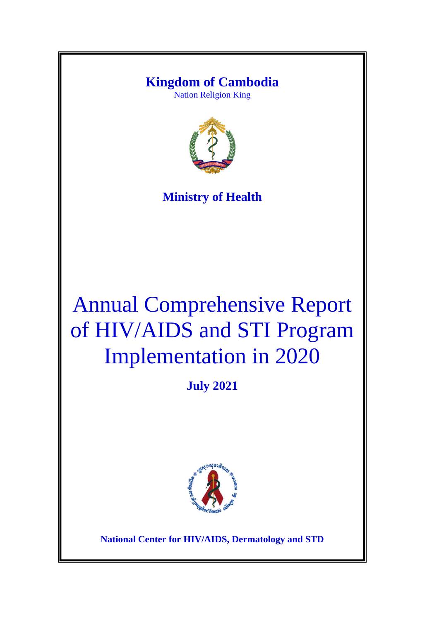# **Kingdom of Cambodia**

Nation Religion King



# **Ministry of Health**

# Annual Comprehensive Report of HIV/AIDS and STI Program Implementation in 2020

**July 2021**



**National Center for HIV/AIDS, Dermatology and STD**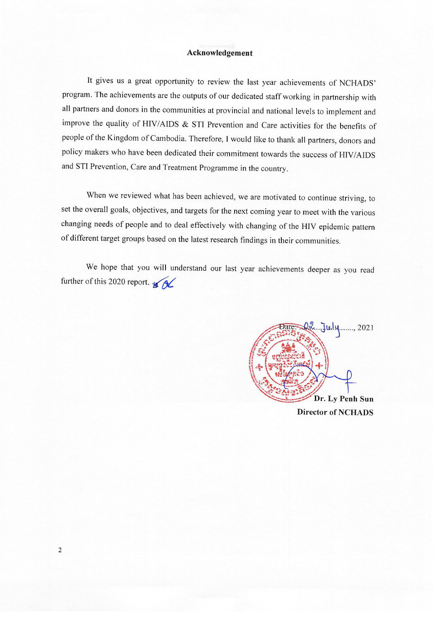#### Acknowledgement

It gives us a great opportunity to review the last year achievements of NCHADS' program. The achievements are the outputs of our dedicated staff working in partnership with all partners and donors in the communities at provincial and national levels to implement and improve the quality of HIV/AIDS & STI Prevention and Care activities for the benefits of people of the Kingdom of Cambodia. Therefore, I would like to thank all partners, donors and policy makers who have been dedicated their commitment towards the success of HIV/AIDS and STI Prevention, Care and Treatment Programme in the country.

When we reviewed what has been achieved, we are motivated to continue striving, to set the overall goals, objectives, and targets for the next coming year to meet with the various changing needs of people and to deal effectively with changing of the HIV epidemic pattern of different target groups based on the latest research findings in their communities.

We hope that you will understand our last year achievements deeper as you read further of this 2020 report.  $\sqrt{2}$ 



**Director of NCHADS**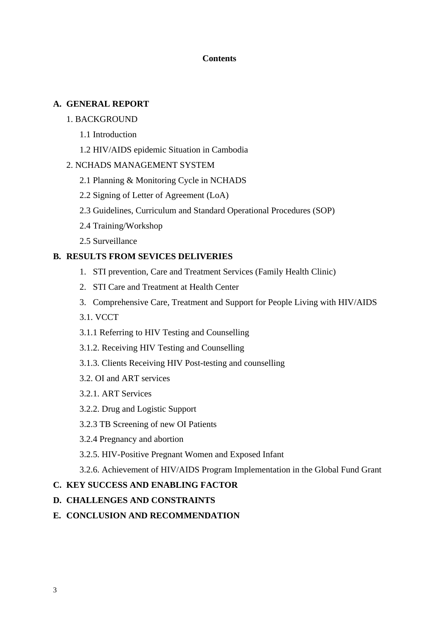# **Contents**

# **A. GENERAL REPORT**

# 1. BACKGROUND

- 1.1 Introduction
- 1.2 HIV/AIDS epidemic Situation in Cambodia

# 2. NCHADS MANAGEMENT SYSTEM

- 2.1 Planning & Monitoring Cycle in NCHADS
- 2.2 Signing of Letter of Agreement (LoA)
- 2.3 Guidelines, Curriculum and Standard Operational Procedures (SOP)
- 2.4 Training/Workshop
- 2.5 Surveillance

# **B. RESULTS FROM SEVICES DELIVERIES**

- 1. STI prevention, Care and Treatment Services (Family Health Clinic)
- 2. STI Care and Treatment at Health Center
- 3. Comprehensive Care, Treatment and Support for People Living with HIV/AIDS

3.1. VCCT

- 3.1.1 Referring to HIV Testing and Counselling
- 3.1.2. Receiving HIV Testing and Counselling
- 3.1.3. Clients Receiving HIV Post-testing and counselling
- 3.2. OI and ART services
- 3.2.1. ART Services
- 3.2.2. Drug and Logistic Support
- 3.2.3 TB Screening of new OI Patients
- 3.2.4 Pregnancy and abortion
- 3.2.5. HIV-Positive Pregnant Women and Exposed Infant

3.2.6. Achievement of HIV/AIDS Program Implementation in the Global Fund Grant

# **C. KEY SUCCESS AND ENABLING FACTOR**

# **D. CHALLENGES AND CONSTRAINTS**

# **E. CONCLUSION AND RECOMMENDATION**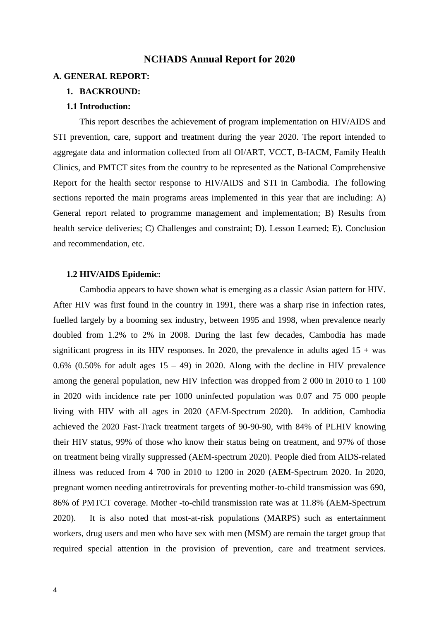#### **NCHADS Annual Report for 2020**

#### **A. GENERAL REPORT:**

#### **1. BACKROUND:**

#### **1.1 Introduction:**

This report describes the achievement of program implementation on HIV/AIDS and STI prevention, care, support and treatment during the year 2020. The report intended to aggregate data and information collected from all OI/ART, VCCT, B-IACM, Family Health Clinics, and PMTCT sites from the country to be represented as the National Comprehensive Report for the health sector response to HIV/AIDS and STI in Cambodia. The following sections reported the main programs areas implemented in this year that are including: A) General report related to programme management and implementation; B) Results from health service deliveries; C) Challenges and constraint; D). Lesson Learned; E). Conclusion and recommendation, etc.

#### **1.2 HIV/AIDS Epidemic:**

Cambodia appears to have shown what is emerging as a classic Asian pattern for HIV. After HIV was first found in the country in 1991, there was a sharp rise in infection rates, fuelled largely by a booming sex industry, between 1995 and 1998, when prevalence nearly doubled from 1.2% to 2% in 2008. During the last few decades, Cambodia has made significant progress in its HIV responses. In 2020, the prevalence in adults aged  $15 + was$ 0.6% (0.50% for adult ages  $15 - 49$ ) in 2020. Along with the decline in HIV prevalence among the general population, new HIV infection was dropped from 2 000 in 2010 to 1 100 in 2020 with incidence rate per 1000 uninfected population was 0.07 and 75 000 people living with HIV with all ages in 2020 (AEM-Spectrum 2020). In addition, Cambodia achieved the 2020 Fast-Track treatment targets of 90-90-90, with 84% of PLHIV knowing their HIV status, 99% of those who know their status being on treatment, and 97% of those on treatment being virally suppressed (AEM-spectrum 2020). People died from AIDS-related illness was reduced from 4 700 in 2010 to 1200 in 2020 (AEM-Spectrum 2020. In 2020, pregnant women needing antiretrovirals for preventing mother-to-child transmission was 690, 86% of PMTCT coverage. Mother -to-child transmission rate was at 11.8% (AEM-Spectrum 2020). It is also noted that most-at-risk populations (MARPS) such as entertainment workers, drug users and men who have sex with men (MSM) are remain the target group that required special attention in the provision of prevention, care and treatment services.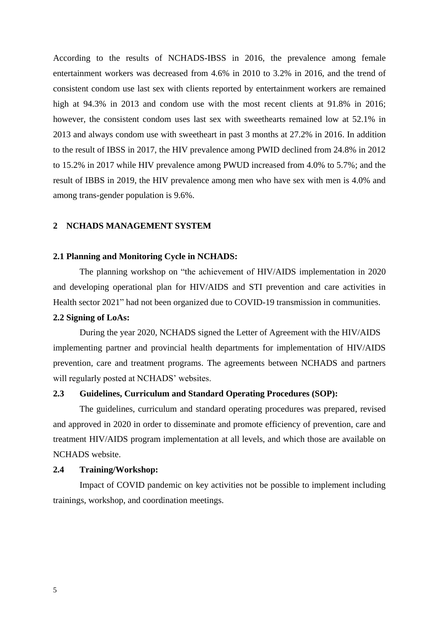According to the results of NCHADS-IBSS in 2016, the prevalence among female entertainment workers was decreased from 4.6% in 2010 to 3.2% in 2016, and the trend of consistent condom use last sex with clients reported by entertainment workers are remained high at 94.3% in 2013 and condom use with the most recent clients at 91.8% in 2016; however, the consistent condom uses last sex with sweethearts remained low at 52.1% in 2013 and always condom use with sweetheart in past 3 months at 27.2% in 2016. In addition to the result of IBSS in 2017, the HIV prevalence among PWID declined from 24.8% in 2012 to 15.2% in 2017 while HIV prevalence among PWUD increased from 4.0% to 5.7%; and the result of IBBS in 2019, the HIV prevalence among men who have sex with men is 4.0% and among trans-gender population is 9.6%.

#### **2 NCHADS MANAGEMENT SYSTEM**

#### **2.1 Planning and Monitoring Cycle in NCHADS:**

The planning workshop on "the achievement of HIV/AIDS implementation in 2020 and developing operational plan for HIV/AIDS and STI prevention and care activities in Health sector 2021" had not been organized due to COVID-19 transmission in communities.

#### **2.2 Signing of LoAs:**

During the year 2020, NCHADS signed the Letter of Agreement with the HIV/AIDS implementing partner and provincial health departments for implementation of HIV/AIDS prevention, care and treatment programs. The agreements between NCHADS and partners will regularly posted at NCHADS' websites.

#### **2.3 Guidelines, Curriculum and Standard Operating Procedures (SOP):**

The guidelines, curriculum and standard operating procedures was prepared, revised and approved in 2020 in order to disseminate and promote efficiency of prevention, care and treatment HIV/AIDS program implementation at all levels, and which those are available on NCHADS website.

#### **2.4 Training/Workshop:**

Impact of COVID pandemic on key activities not be possible to implement including trainings, workshop, and coordination meetings.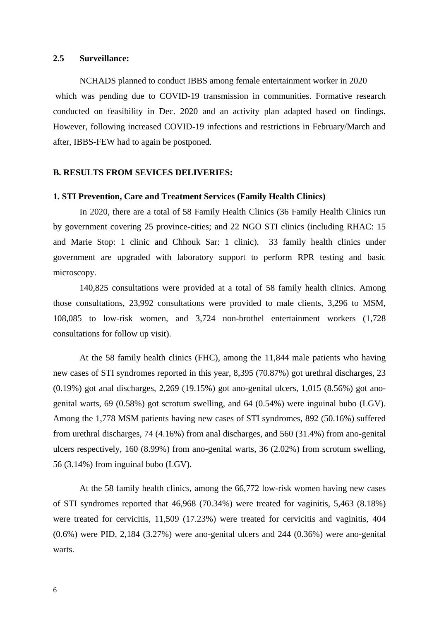#### **2.5 Surveillance:**

NCHADS planned to conduct IBBS among female entertainment worker in 2020 which was pending due to COVID-19 transmission in communities. Formative research conducted on feasibility in Dec. 2020 and an activity plan adapted based on findings. However, following increased COVID-19 infections and restrictions in February/March and after, IBBS-FEW had to again be postponed.

#### **B. RESULTS FROM SEVICES DELIVERIES:**

#### **1. STI Prevention, Care and Treatment Services (Family Health Clinics)**

In 2020, there are a total of 58 Family Health Clinics (36 Family Health Clinics run by government covering 25 province-cities; and 22 NGO STI clinics (including RHAC: 15 and Marie Stop: 1 clinic and Chhouk Sar: 1 clinic). 33 family health clinics under government are upgraded with laboratory support to perform RPR testing and basic microscopy.

140,825 consultations were provided at a total of 58 family health clinics. Among those consultations, 23,992 consultations were provided to male clients, 3,296 to MSM, 108,085 to low-risk women, and 3,724 non-brothel entertainment workers (1,728 consultations for follow up visit).

At the 58 family health clinics (FHC), among the 11,844 male patients who having new cases of STI syndromes reported in this year, 8,395 (70.87%) got urethral discharges, 23 (0.19%) got anal discharges, 2,269 (19.15%) got ano-genital ulcers, 1,015 (8.56%) got anogenital warts, 69 (0.58%) got scrotum swelling, and 64 (0.54%) were inguinal bubo (LGV). Among the 1,778 MSM patients having new cases of STI syndromes, 892 (50.16%) suffered from urethral discharges, 74 (4.16%) from anal discharges, and 560 (31.4%) from ano-genital ulcers respectively, 160 (8.99%) from ano-genital warts, 36 (2.02%) from scrotum swelling, 56 (3.14%) from inguinal bubo (LGV).

At the 58 family health clinics, among the 66,772 low-risk women having new cases of STI syndromes reported that 46,968 (70.34%) were treated for vaginitis, 5,463 (8.18%) were treated for cervicitis, 11,509 (17.23%) were treated for cervicitis and vaginitis, 404 (0.6%) were PID, 2,184 (3.27%) were ano-genital ulcers and 244 (0.36%) were ano-genital warts.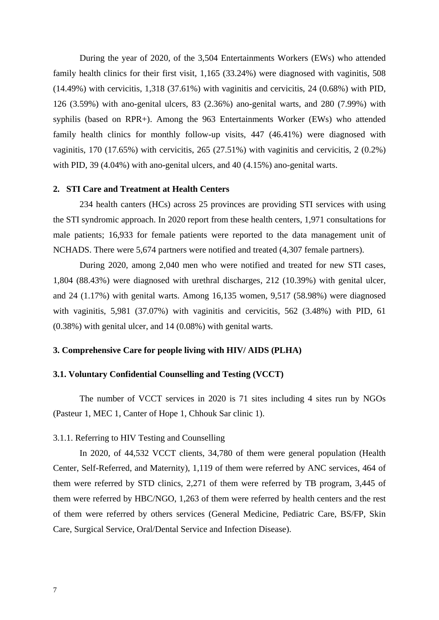During the year of 2020, of the 3,504 Entertainments Workers (EWs) who attended family health clinics for their first visit, 1,165 (33.24%) were diagnosed with vaginitis, 508  $(14.49%)$  with cervicitis,  $1,318$   $(37.61%)$  with vaginitis and cervicitis,  $24$   $(0.68%)$  with PID, 126 (3.59%) with ano-genital ulcers, 83 (2.36%) ano-genital warts, and 280 (7.99%) with syphilis (based on RPR+). Among the 963 Entertainments Worker (EWs) who attended family health clinics for monthly follow-up visits, 447 (46.41%) were diagnosed with vaginitis, 170 (17.65%) with cervicitis, 265 (27.51%) with vaginitis and cervicitis, 2 (0.2%) with PID, 39 (4.04%) with ano-genital ulcers, and 40 (4.15%) ano-genital warts.

#### **2. STI Care and Treatment at Health Centers**

234 health canters (HCs) across 25 provinces are providing STI services with using the STI syndromic approach. In 2020 report from these health centers, 1,971 consultations for male patients; 16,933 for female patients were reported to the data management unit of NCHADS. There were 5,674 partners were notified and treated (4,307 female partners).

During 2020, among 2,040 men who were notified and treated for new STI cases, 1,804 (88.43%) were diagnosed with urethral discharges, 212 (10.39%) with genital ulcer, and 24 (1.17%) with genital warts. Among 16,135 women, 9,517 (58.98%) were diagnosed with vaginitis, 5,981 (37.07%) with vaginitis and cervicitis, 562 (3.48%) with PID, 61 (0.38%) with genital ulcer, and 14 (0.08%) with genital warts.

#### **3. Comprehensive Care for people living with HIV/ AIDS (PLHA)**

#### **3.1. Voluntary Confidential Counselling and Testing (VCCT)**

The number of VCCT services in 2020 is 71 sites including 4 sites run by NGOs (Pasteur 1, MEC 1, Canter of Hope 1, Chhouk Sar clinic 1).

#### 3.1.1. Referring to HIV Testing and Counselling

In 2020, of 44,532 VCCT clients, 34,780 of them were general population (Health Center, Self-Referred, and Maternity), 1,119 of them were referred by ANC services, 464 of them were referred by STD clinics, 2,271 of them were referred by TB program, 3,445 of them were referred by HBC/NGO, 1,263 of them were referred by health centers and the rest of them were referred by others services (General Medicine, Pediatric Care, BS/FP, Skin Care, Surgical Service, Oral/Dental Service and Infection Disease).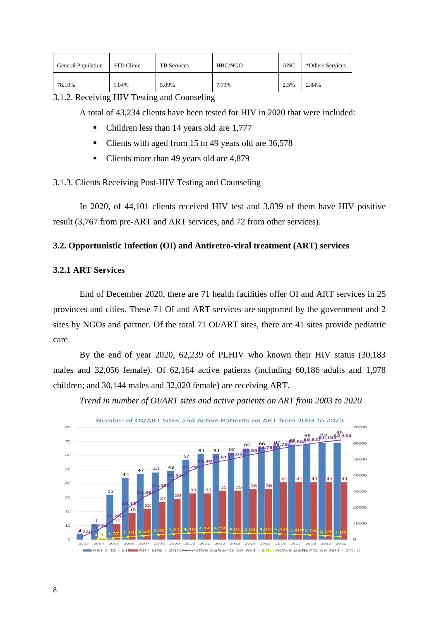| <b>General Population</b> | STD Clinic | <b>TB</b> Services | HBC/NGO | <b>ANC</b> | *Others Services |
|---------------------------|------------|--------------------|---------|------------|------------------|
| 78.10%                    | 1.04%      | 5.09%              | 7.73%   | 2.5%       | 2.84%            |

3.1.2. Receiving HIV Testing and Counseling

A total of 43,234 clients have been tested for HIV in 2020 that were included:

- Children less than 14 years old are 1,777
- Clients with aged from 15 to 49 years old are 36,578
- Clients more than 49 years old are 4,879

### 3.1.3. Clients Receiving Post-HIV Testing and Counseling

In 2020, of 44,101 clients received HIV test and 3,839 of them have HIV positive result (3,767 from pre-ART and ART services, and 72 from other services).

#### **3.2. Opportunistic Infection (OI) and Antiretro-viral treatment (ART) services**

#### **3.2.1 ART Services**

End of December 2020, there are 71 health facilities offer OI and ART services in 25 provinces and cities. These 71 OI and ART services are supported by the government and 2 sites by NGOs and partner. Of the total 71 OI/ART sites, there are 41 sites provide pediatric care.

By the end of year 2020, 62,239 of PLHIV who known their HIV status (30,183 males and 32,056 female). Of 62,164 active patients (including 60,186 adults and 1,978 children; and 30,144 males and 32,020 female) are receiving ART.





Number of OI/ART Sites and Active Patients on ART from 2003 to 2020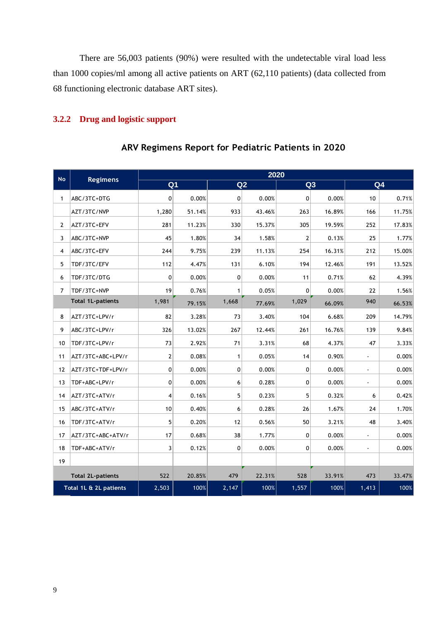There are 56,003 patients (90%) were resulted with the undetectable viral load less than 1000 copies/ml among all active patients on ART (62,110 patients) (data collected from functioning electronic database ART sites).

# **3.2.2 Drug and logistic support**

|                | And the sunders the h<br><b>191 1 2 41 4 51 1 51</b> |                |        |                |        |                |        |                          |                |  |  |
|----------------|------------------------------------------------------|----------------|--------|----------------|--------|----------------|--------|--------------------------|----------------|--|--|
|                |                                                      | 2020           |        |                |        |                |        |                          |                |  |  |
| <b>No</b>      | <b>Regimens</b>                                      | Q <sub>1</sub> |        |                | Q2     |                | Q3     |                          | Q <sub>4</sub> |  |  |
| $\mathbf{1}$   | ABC/3TC+DTG                                          | $\mathbf 0$    | 0.00%  | $\overline{0}$ | 0.00%  | 0              | 0.00%  | 10                       | 0.71%          |  |  |
|                | AZT/3TC/NVP                                          | 1,280          | 51.14% | 933            | 43.46% | 263            | 16.89% | 166                      | 11.75%         |  |  |
| $\overline{2}$ | AZT/3TC+EFV                                          | 281            | 11.23% | 330            | 15.37% | 305            | 19.59% | 252                      | 17.83%         |  |  |
| 3              | ABC/3TC+NVP                                          | 45             | 1.80%  | 34             | 1.58%  | $\overline{2}$ | 0.13%  | 25                       | 1.77%          |  |  |
| 4              | ABC/3TC+EFV                                          | 244            | 9.75%  | 239            | 11.13% | 254            | 16.31% | 212                      | 15.00%         |  |  |
| 5              | TDF/3TC/EFV                                          | 112            | 4.47%  | 131            | 6.10%  | 194            | 12.46% | 191                      | 13.52%         |  |  |
| 6              | TDF/3TC/DTG                                          | 0              | 0.00%  | 0              | 0.00%  | 11             | 0.71%  | 62                       | 4.39%          |  |  |
| 7              | TDF/3TC+NVP                                          | 19             | 0.76%  | 1              | 0.05%  | 0              | 0.00%  | 22                       | 1.56%          |  |  |
|                | <b>Total 1L-patients</b>                             | 1,981          | 79.15% | 1,668          | 77.69% | 1,029          | 66.09% | 940                      | 66.53%         |  |  |
| 8              | AZT/3TC+LPV/r                                        | 82             | 3.28%  | 73             | 3.40%  | 104            | 6.68%  | 209                      | 14.79%         |  |  |
| 9              | ABC/3TC+LPV/r                                        | 326            | 13.02% | 267            | 12.44% | 261            | 16.76% | 139                      | 9.84%          |  |  |
| 10             | TDF/3TC+LPV/r                                        | 73             | 2.92%  | 71             | 3.31%  | 68             | 4.37%  | 47                       | 3.33%          |  |  |
| 11             | AZT/3TC+ABC+LPV/r                                    | $\overline{2}$ | 0.08%  | $\mathbf{1}$   | 0.05%  | 14             | 0.90%  | $\overline{\phantom{a}}$ | 0.00%          |  |  |
| 12             | AZT/3TC+TDF+LPV/r                                    | $\pmb{0}$      | 0.00%  | 0              | 0.00%  | $\mathbf 0$    | 0.00%  | $\blacksquare$           | 0.00%          |  |  |
| 13             | TDF+ABC+LPV/r                                        | 0              | 0.00%  | 6              | 0.28%  | 0              | 0.00%  | J.                       | 0.00%          |  |  |
| 14             | AZT/3TC+ATV/r                                        | 4              | 0.16%  | 5              | 0.23%  | 5              | 0.32%  | 6                        | 0.42%          |  |  |
| 15             | ABC/3TC+ATV/r                                        | 10             | 0.40%  | 6              | 0.28%  | 26             | 1.67%  | 24                       | 1.70%          |  |  |
| 16             | TDF/3TC+ATV/r                                        | 5              | 0.20%  | 12             | 0.56%  | 50             | 3.21%  | 48                       | 3.40%          |  |  |
| 17             | AZT/3TC+ABC+ATV/r                                    | 17             | 0.68%  | 38             | 1.77%  | $\mathbf 0$    | 0.00%  | $\sim$                   | 0.00%          |  |  |
| 18             | TDF+ABC+ATV/r                                        | 3              | 0.12%  | 0              | 0.00%  | 0              | 0.00%  | $\blacksquare$           | 0.00%          |  |  |
| 19             |                                                      |                |        |                |        |                |        |                          |                |  |  |
|                | <b>Total 2L-patients</b>                             | 522            | 20.85% | 479            | 22.31% | 528            | 33.91% | 473                      | 33.47%         |  |  |
|                | Total 1L & 2L patients                               | 2,503          | 100%   | 2,147          | 100%   | 1,557          | 100%   | 1,413                    | 100%           |  |  |

# **ARV Regimens Report for Pediatric Patients in 2020**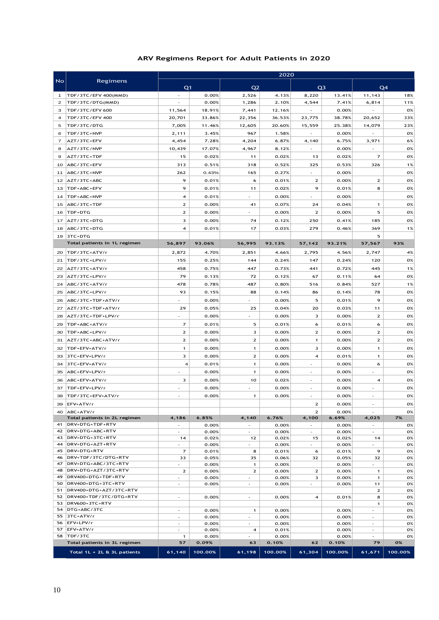#### **ARV Regimens Report for Adult Patients in 2020**

|                |                                                      | 2020                                                 |                |                                   |                |                          |                |                                                      |          |  |
|----------------|------------------------------------------------------|------------------------------------------------------|----------------|-----------------------------------|----------------|--------------------------|----------------|------------------------------------------------------|----------|--|
| No.            | Regimens                                             | Q <sub>1</sub>                                       |                | Q <sub>2</sub>                    |                |                          | Q <sub>3</sub> |                                                      | Q4       |  |
| 1              | TDF/3TC/EFV 400(MMD)                                 |                                                      | 0.00%          | 2,526                             | 4.13%          | 8,220                    | 13.41%         | 11,143                                               | 18%      |  |
| $\overline{2}$ | TDF/3TC/DTG(MMD)                                     | $\overline{\phantom{a}}$                             | 0.00%          | 1,286                             | 2.10%          | 4,544                    | 7.41%          | 6,814                                                | 11%      |  |
| з              | TDF/3TC/EFV 600                                      | 11,564                                               | 18.91%         | 7,441                             | 12.16%         |                          | 0.00%          |                                                      | 0%       |  |
| 4              | TDF/3TC/EFV 400                                      | 20,701                                               | 33.86%         | 22,356                            | 36.53%         | 23,775                   | 38.78%         | 20,652                                               | 33%      |  |
| 5              | TDF/3TC/DTG                                          | 7,005                                                | 11.46%         | 12,605                            | 20.60%         | 15,559                   | 25.38%         | 14,079                                               | 23%      |  |
| 6              | TDF/3TC+NVP                                          | 2,111                                                | 3.45%          | 967                               | 1.58%          | ÷,                       | 0.00%          | ÷,                                                   | 0%       |  |
| $\overline{7}$ | AZT/3TC+EFV                                          | 4,454                                                | 7.28%          | 4,204                             | 6.87%          | 4,140<br>÷.              | 6.75%          | 3,971                                                | 6%       |  |
| 8              | AZT/3TC/NVP                                          | 10,439<br>15                                         | 17.07%         | 4,967                             | 8.12%          |                          | 0.00%          | $\overline{7}$                                       | 0%<br>0% |  |
| 9<br>10        | AZT/3TC+TDF<br>ABC/3TC+EFV                           | 313                                                  | 0.02%<br>0.51% | 11<br>318                         | 0.02%<br>0.52% | 13<br>325                | 0.02%<br>0.53% | 326                                                  | 1%       |  |
| 11             | ABC/3TC+NVP                                          | 262                                                  | 0.43%          | 165                               | 0.27%          | ÷,                       | 0.00%          |                                                      | 0%       |  |
| 12             | AZT/3TC+ABC                                          | 9                                                    | 0.01%          | 6                                 | 0.01%          | $\overline{2}$           | 0.00%          | $\mathbf{2}$                                         | 0%       |  |
| 13             | TDF+ABC+EFV                                          | 9                                                    | 0.01%          | 11                                | 0.02%          | 9                        | 0.01%          | 8                                                    | 0%       |  |
| 14             | TDF+ABC+NVP                                          | $\overline{\mathbf{4}}$                              | 0.01%          | L.                                | 0.00%          | L,                       | 0.00%          |                                                      | 0%       |  |
| 15             | ABC/3TC+TDF                                          | $\mathbf{z}$                                         | 0.00%          | 41                                | 0.07%          | 24                       | 0.04%          | $\mathbf{1}$                                         | 0%       |  |
| 16             | TDF+DTG                                              | $\mathbf{2}$                                         | 0.00%          | $\overline{\phantom{a}}$          | 0.00%          | $\mathbf{2}$             | 0.00%          | 5                                                    | 0%       |  |
| 17             | AZT/3TC+DTG                                          | 3                                                    | 0.00%          | 74                                | 0.12%          | 250                      | 0.41%          | 185                                                  | 0%       |  |
| 18             | ABC/3TC+DTG                                          | $\overline{\mathbf{4}}$                              | 0.01%          | 17                                | 0.03%          | 279                      | 0.46%          | 369                                                  | 1%       |  |
| 19             | 3TC+DTG                                              |                                                      |                |                                   |                |                          |                | 5                                                    |          |  |
|                | Total patients in 1L regimen                         | 56,897                                               | 93.06%         | 56,995                            | 93.13%         | 57,142                   | 93.21%         | 57,567                                               | 93%      |  |
| 20             | TDF/3TC+ATV/r                                        | 2,872                                                | 4.70%          | 2,851                             | 4.66%          | 2,795                    | 4.56%          | 2,747                                                | 4%       |  |
| 21             | TDF/3TC+LPV/r                                        | 155                                                  | 0.25%          | 144                               | 0.24%          | 147                      | 0.24%          | 120                                                  | 0%       |  |
| 22             | AZT/3TC+ATV/r                                        | 458                                                  | 0.75%          | 447                               | 0.73%          | 441                      | 0.72%          | 445                                                  | 1%       |  |
| 23             | AZT/3TC+LPV/r                                        | 79                                                   | 0.13%          | 72                                | 0.12%          | 67                       | 0.11%          | 64                                                   | 0%       |  |
| 24             | ABC/3TC+ATV/r                                        | 478                                                  | 0.78%          | 487                               | 0.80%          | 516                      | 0.84%          | 527                                                  | 1%       |  |
| 25             | ABC/3TC+LPV/r                                        | 93                                                   | 0.15%          | 88                                | 0.14%          | 86                       | 0.14%          | 78                                                   | 0%       |  |
| 26             | ABC/3TC+TDF+ATV/r                                    | $\overline{a}$                                       | 0.00%          | ÷.                                | 0.00%          | 5                        | 0.01%          | 9                                                    | 0%       |  |
| 27             | AZT/3TC+TDF+ATV/r                                    | 29                                                   | 0.05%          | 25                                | 0.04%          | 20                       | 0.03%          | 11                                                   | 0%       |  |
| 28             | AZT/3TC+TDF+LPV/r                                    |                                                      | 0.00%          |                                   | 0.00%          | 3                        | 0.00%          | $\mathbf{z}$                                         | 0%       |  |
| 29             | TDF+ABC+ATV/r                                        | $\overline{7}$                                       | 0.01%          | 5                                 | 0.01%          | 6                        | 0.01%          | 6                                                    | 0%       |  |
| 30             | TDF+ABC+LPV/r                                        | $\overline{2}$                                       | 0.00%          | 3                                 | 0.00%          | $\mathbf{2}$             | 0.00%          | $\overline{2}$                                       | 0%       |  |
| 31             | AZT/3TC+ABC+ATV/r                                    | $\overline{2}$                                       | 0.00%          | $\mathbf{z}$                      | 0.00%          | $\mathbf{1}$             | 0.00%          | $\mathbf{z}$                                         | 0%       |  |
| 32             | TDF+EFV+ATV/r                                        | $\mathbf{1}$                                         | 0.00%          | $\mathbf{1}$                      | 0.00%          | 3                        | 0.00%          | $\mathbf{1}$                                         | 0%       |  |
| 33             | 3TC+EFV+LPV/r                                        | 3                                                    | 0.00%          | $\mathbf{z}$                      | 0.00%          | 4                        | 0.01%          | $\mathbf{1}$                                         | 0%       |  |
| 34             | 3TC+EFV+ATV/r                                        | $\overline{\mathbf{4}}$                              | 0.01%          | $\mathbf{1}$                      | 0.00%          | ÷,                       | 0.00%          | 6                                                    | 0%       |  |
| 35             | ABC+EFV+LPV/r                                        | $\overline{\phantom{a}}$                             | 0.00%          | $\mathbf{1}$                      | 0.00%          | ÷,                       | 0.00%          | ÷,                                                   | 0%       |  |
| 36             | ABC+EFV+ATV/r                                        | 3                                                    | 0.00%          | 10                                | 0.02%          |                          | 0.00%          | 4                                                    | 0%       |  |
| 37             | TDF+EFV+LPV/r                                        |                                                      | 0.00%          | $\sim$                            | 0.00%          |                          | 0.00%          |                                                      | 0%       |  |
| 38             | TDF/3TC+EFV+ATV/r                                    |                                                      | 0.00%          | 1                                 | 0.00%          |                          | 0.00%          |                                                      | 0%       |  |
|                | 39 EFV+ATV/r                                         |                                                      |                |                                   |                | $\mathbf{z}$             | 0.00%          | ä,                                                   | 0%       |  |
|                | 40 ABC+ATV/r                                         |                                                      |                |                                   |                | $\mathbf{2}$             | 0.00%          | ٠                                                    | 0%       |  |
|                | Total patients in 2L regimen<br>41   DRV+DTG+TDF+RTV | 4,186<br>$\sim$                                      | 6.85%<br>0.00% | 4,140<br>$\overline{\phantom{a}}$ | 6.76%<br>0.00% | 4,100<br>$\sim$          | 6.69%<br>0.00% | 4,025<br>$\sim$                                      | 7%<br>0% |  |
| 42             | DRV+DTG+ABC+RTV                                      | $\overline{\phantom{a}}$                             | 0.00%          | $\overline{\phantom{a}}$          | 0.00%          | $\overline{\phantom{a}}$ | 0.00%          | $\overline{\phantom{a}}$                             | 0%       |  |
| 43             | DRV+DTG+3TC+RTV                                      | 14                                                   | 0.02%          | 12                                | 0.02%          | 15                       | 0.02%          | 14                                                   | 0%       |  |
|                | 44   DRV+DTG+AZT+RTV                                 | $\overline{\phantom{a}}$                             | 0.00%          | $\sim$                            | 0.00%          | $\overline{\phantom{a}}$ | 0.00%          | $\sim$                                               | 0%       |  |
| 45<br>46       | DRV+DTG+RTV<br>DRV+TDF/3TC/DTG+RTV                   | $\overline{7}$                                       | 0.01%          | 8                                 | 0.01%          | 6                        | 0.01%          | 9                                                    | 0%       |  |
| 47             | DRV+DTG+ABC/3TC+RTV                                  | 33<br>$\overline{\phantom{a}}$                       | 0.05%<br>0.00% | 35<br>1                           | 0.06%<br>0.00% | 32                       | 0.05%<br>0.00% | 32<br>$\sim$                                         | 0%<br>0% |  |
| 48             | DRV+DTG+AZT/3TC+RTV                                  | $\mathbf{2}$                                         | 0.00%          | $\mathbf{2}$                      | 0.00%          | $\mathbf{2}$             | 0.00%          | $\mathbf{1}$                                         | 0%       |  |
| 49             | DRV400+DTG+TDF+RTV                                   | $\sim$                                               | 0.00%          | $\sim$                            | 0.00%          | 3                        | 0.00%          | $\mathbf{1}$                                         | 0%       |  |
| 50             | DRV400+DTG+3TC+RTV<br>DRV400+DTG+AZT/3TC+RTV         | $\overline{\phantom{a}}$                             | 0.00%          | $\overline{\phantom{a}}$          | 0.00%          | $\overline{\phantom{a}}$ | 0.00%          | 11                                                   | 0%       |  |
| 51             | 52   DRV400+TDF/3TC/DTG+RTV                          | $\overline{\phantom{a}}$                             | 0.00%          | $\overline{\phantom{a}}$          | 0.00%          | $\overline{4}$           | 0.01%          | $\overline{2}$<br>8                                  | 0%<br>0% |  |
| 53             | DRV600+3TC+RTV                                       |                                                      |                |                                   |                |                          |                | 1                                                    | 0%       |  |
|                | 54   DTG+ABC/3TC                                     | $\overline{\phantom{a}}$                             | 0.00%          | $\mathbf{1}$                      | 0.00%          |                          | 0.00%          |                                                      | 0%       |  |
|                | 55 3TC+ATV/r                                         | $\overline{\phantom{a}}$                             | 0.00%          | $\overline{\phantom{a}}$          | 0.00%          |                          | 0.00%          | $\overline{\phantom{a}}$                             | 0%       |  |
| 57             | 56 EFV+LPV/r<br>EFV+ATV/r                            | $\overline{\phantom{a}}$<br>$\overline{\phantom{a}}$ | 0.00%<br>0.00% | $\overline{\phantom{a}}$<br>4     | 0.00%<br>0.01% |                          | 0.00%<br>0.00% | $\overline{\phantom{a}}$<br>$\overline{\phantom{a}}$ | 0%<br>0% |  |
|                | 58 TDF/3TC                                           | $\mathbf{1}$                                         | 0.00%          | $\overline{\phantom{a}}$          | 0.00%          |                          | 0.00%          | $\overline{a}$                                       | 0%       |  |
|                | Total patients in 3L regimen                         | 57                                                   | 0.09%          | 63                                | 0.10%          | 62                       | 0.10%          | 79                                                   | 0%       |  |
|                | Total 1L + 2L & 3L patients                          | 61,140                                               | 100.00%        | 61,198                            | 100.00%        | 61,304                   | 100.00%        | 61,671                                               | 100.00%  |  |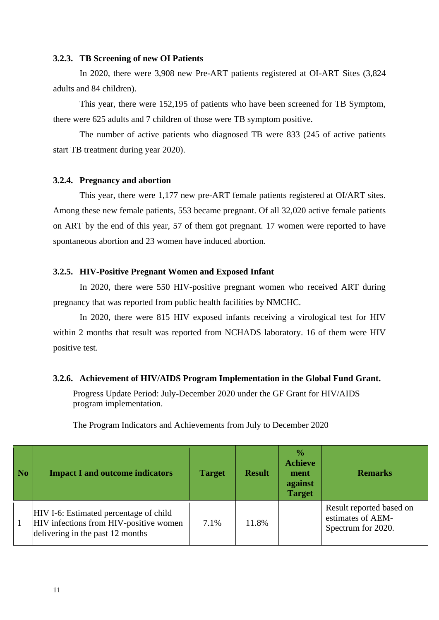#### **3.2.3. TB Screening of new OI Patients**

In 2020, there were 3,908 new Pre-ART patients registered at OI-ART Sites (3,824 adults and 84 children).

This year, there were 152,195 of patients who have been screened for TB Symptom, there were 625 adults and 7 children of those were TB symptom positive.

The number of active patients who diagnosed TB were 833 (245 of active patients start TB treatment during year 2020).

#### **3.2.4. Pregnancy and abortion**

This year, there were 1,177 new pre-ART female patients registered at OI/ART sites. Among these new female patients, 553 became pregnant. Of all 32,020 active female patients on ART by the end of this year, 57 of them got pregnant. 17 women were reported to have spontaneous abortion and 23 women have induced abortion.

# **3.2.5. HIV-Positive Pregnant Women and Exposed Infant**

In 2020, there were 550 HIV-positive pregnant women who received ART during pregnancy that was reported from public health facilities by NMCHC.

In 2020, there were 815 HIV exposed infants receiving a virological test for HIV within 2 months that result was reported from NCHADS laboratory. 16 of them were HIV positive test.

#### **3.2.6. Achievement of HIV/AIDS Program Implementation in the Global Fund Grant.**

Progress Update Period: July-December 2020 under the GF Grant for HIV/AIDS program implementation.

|  |  | The Program Indicators and Achievements from July to December 2020 |
|--|--|--------------------------------------------------------------------|
|  |  |                                                                    |

| No | <b>Impact I and outcome indicators</b>                                                                               | <b>Target</b> | <b>Result</b> | $\frac{6}{9}$<br><b>Achieve</b><br>ment<br>against<br><b>Target</b> | <b>Remarks</b>                                                      |
|----|----------------------------------------------------------------------------------------------------------------------|---------------|---------------|---------------------------------------------------------------------|---------------------------------------------------------------------|
|    | HIV I-6: Estimated percentage of child<br>HIV infections from HIV-positive women<br>delivering in the past 12 months | 7.1%          | 11.8%         |                                                                     | Result reported based on<br>estimates of AEM-<br>Spectrum for 2020. |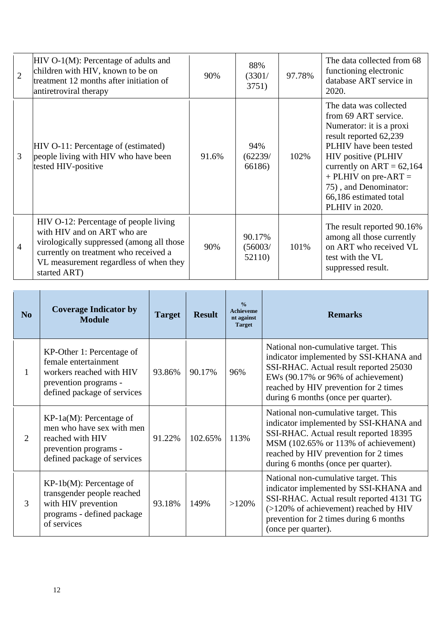| $\overline{2}$ | $HIV O-1(M)$ : Percentage of adults and<br>children with HIV, known to be on<br>treatment 12 months after initiation of<br>antiretroviral therapy                                                                    | 90%   | 88%<br>(3301/<br>3751)      | 97.78% | The data collected from 68<br>functioning electronic<br>database ART service in<br>2020.                                                                                                                                                                                              |
|----------------|----------------------------------------------------------------------------------------------------------------------------------------------------------------------------------------------------------------------|-------|-----------------------------|--------|---------------------------------------------------------------------------------------------------------------------------------------------------------------------------------------------------------------------------------------------------------------------------------------|
| 3              | HIV O-11: Percentage of (estimated)<br>people living with HIV who have been<br>tested HIV-positive                                                                                                                   | 91.6% | 94%<br>(62239/<br>66186)    | 102%   | The data was collected<br>from 69 ART service.<br>Numerator: it is a proxi<br>result reported 62,239<br>PLHIV have been tested<br>HIV positive (PLHIV<br>currently on $ART = 62,164$<br>$+$ PLHIV on pre-ART $=$<br>75), and Denominator:<br>66,186 estimated total<br>PLHIV in 2020. |
| 4              | HIV O-12: Percentage of people living<br>with HIV and on ART who are<br>virologically suppressed (among all those<br>currently on treatment who received a<br>VL measurement regardless of when they<br>started ART) | 90%   | 90.17%<br>(56003/<br>52110) | 101%   | The result reported 90.16%<br>among all those currently<br>on ART who received VL<br>test with the VL<br>suppressed result.                                                                                                                                                           |

| N <sub>0</sub>        | <b>Coverage Indicator by</b><br><b>Module</b>                                                                                         | <b>Target</b> | <b>Result</b> | $\frac{0}{0}$<br><b>Achieveme</b><br>nt against<br><b>Target</b> | <b>Remarks</b>                                                                                                                                                                                                                                   |
|-----------------------|---------------------------------------------------------------------------------------------------------------------------------------|---------------|---------------|------------------------------------------------------------------|--------------------------------------------------------------------------------------------------------------------------------------------------------------------------------------------------------------------------------------------------|
| 1                     | KP-Other 1: Percentage of<br>female entertainment<br>workers reached with HIV<br>prevention programs -<br>defined package of services | 93.86%        | 90.17%        | 96%                                                              | National non-cumulative target. This<br>indicator implemented by SSI-KHANA and<br>SSI-RHAC. Actual result reported 25030<br>EWs (90.17% or 96% of achievement)<br>reached by HIV prevention for 2 times<br>during 6 months (once per quarter).   |
| $\mathcal{D}_{\cdot}$ | $KP-1a(M)$ : Percentage of<br>men who have sex with men<br>reached with HIV<br>prevention programs -<br>defined package of services   | 91.22%        | 102.65%       | 113%                                                             | National non-cumulative target. This<br>indicator implemented by SSI-KHANA and<br>SSI-RHAC. Actual result reported 18395<br>MSM (102.65% or 113% of achievement)<br>reached by HIV prevention for 2 times<br>during 6 months (once per quarter). |
| 3                     | $KP-1b(M)$ : Percentage of<br>transgender people reached<br>with HIV prevention<br>programs - defined package<br>of services          | 93.18%        | 149%          | $>120\%$                                                         | National non-cumulative target. This<br>indicator implemented by SSI-KHANA and<br>SSI-RHAC. Actual result reported 4131 TG<br>(>120% of achievement) reached by HIV<br>prevention for 2 times during 6 months<br>(once per quarter).             |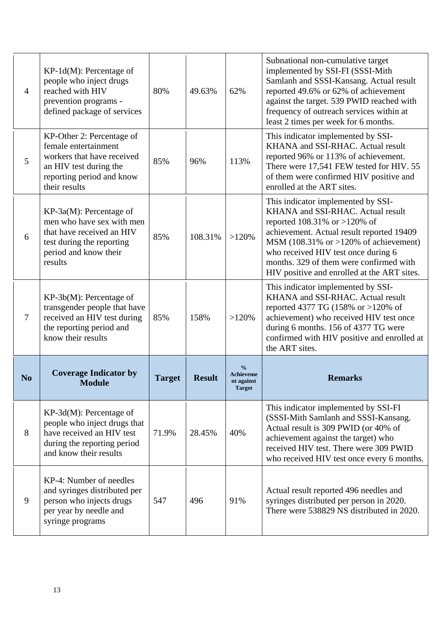| $\overline{4}$ | $KP-1d(M)$ : Percentage of<br>people who inject drugs<br>reached with HIV<br>prevention programs -<br>defined package of services                       | 80%           | 49.63%        | 62%                                                              | Subnational non-cumulative target<br>implemented by SSI-FI (SSSI-Mith<br>Samlanh and SSSI-Kansang. Actual result<br>reported 49.6% or 62% of achievement<br>against the target. 539 PWID reached with<br>frequency of outreach services within at<br>least 2 times per week for 6 months.                                                           |
|----------------|---------------------------------------------------------------------------------------------------------------------------------------------------------|---------------|---------------|------------------------------------------------------------------|-----------------------------------------------------------------------------------------------------------------------------------------------------------------------------------------------------------------------------------------------------------------------------------------------------------------------------------------------------|
| 5              | KP-Other 2: Percentage of<br>female entertainment<br>workers that have received<br>an HIV test during the<br>reporting period and know<br>their results | 85%           | 96%           | 113%                                                             | This indicator implemented by SSI-<br>KHANA and SSI-RHAC. Actual result<br>reported 96% or 113% of achievement.<br>There were 17,541 FEW tested for HIV. 55<br>of them were confirmed HIV positive and<br>enrolled at the ART sites.                                                                                                                |
| 6              | KP-3a(M): Percentage of<br>men who have sex with men<br>that have received an HIV<br>test during the reporting<br>period and know their<br>results      | 85%           | 108.31%       | $>120\%$                                                         | This indicator implemented by SSI-<br>KHANA and SSI-RHAC. Actual result<br>reported 108.31% or >120% of<br>achievement. Actual result reported 19409<br>MSM $(108.31\% \text{ or } >120\% \text{ of achievement})$<br>who received HIV test once during 6<br>months. 329 of them were confirmed with<br>HIV positive and enrolled at the ART sites. |
| $\overline{7}$ | $KP-3b(M)$ : Percentage of<br>transgender people that have<br>received an HIV test during<br>the reporting period and<br>know their results             | 85%           | 158%          | >120%                                                            | This indicator implemented by SSI-<br>KHANA and SSI-RHAC. Actual result<br>reported 4377 TG (158% or >120% of<br>achievement) who received HIV test once<br>during 6 months. 156 of 4377 TG were<br>confirmed with HIV positive and enrolled at<br>the ART sites.                                                                                   |
| N <sub>o</sub> | <b>Coverage Indicator by</b><br><b>Module</b>                                                                                                           | <b>Target</b> | <b>Result</b> | $\frac{0}{0}$<br><b>Achieveme</b><br>nt against<br><b>Target</b> | <b>Remarks</b>                                                                                                                                                                                                                                                                                                                                      |
| 8              | KP-3d(M): Percentage of<br>people who inject drugs that<br>have received an HIV test<br>during the reporting period<br>and know their results           | 71.9%         | 28.45%        | 40%                                                              | This indicator implemented by SSI-FI<br>(SSSI-Mith Samlanh and SSSI-Kansang.<br>Actual result is 309 PWID (or 40% of<br>achievement against the target) who<br>received HIV test. There were 309 PWID<br>who received HIV test once every 6 months.                                                                                                 |
| 9              | KP-4: Number of needles<br>and syringes distributed per<br>person who injects drugs                                                                     | 547           | 496           | 91%                                                              | Actual result reported 496 needles and<br>syringes distributed per person in 2020.                                                                                                                                                                                                                                                                  |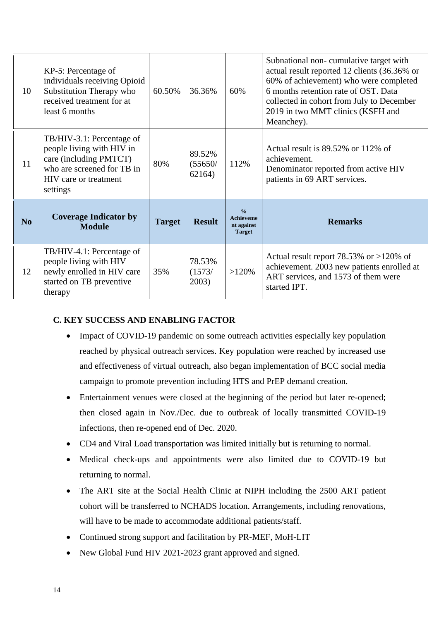| 10             | KP-5: Percentage of<br>individuals receiving Opioid<br>Substitution Therapy who<br>received treatment for at<br>least 6 months                      | 60.50%        | 36.36%                      | 60%                                                              | Subnational non-cumulative target with<br>actual result reported 12 clients (36.36% or<br>60% of achievement) who were completed<br>6 months retention rate of OST. Data<br>collected in cohort from July to December<br>2019 in two MMT clinics (KSFH and<br>Meanchey). |
|----------------|-----------------------------------------------------------------------------------------------------------------------------------------------------|---------------|-----------------------------|------------------------------------------------------------------|--------------------------------------------------------------------------------------------------------------------------------------------------------------------------------------------------------------------------------------------------------------------------|
| 11             | TB/HIV-3.1: Percentage of<br>people living with HIV in<br>care (including PMTCT)<br>who are screened for TB in<br>HIV care or treatment<br>settings | 80%           | 89.52%<br>(55650/<br>62164) | 112%                                                             | Actual result is 89.52% or 112% of<br>achievement.<br>Denominator reported from active HIV<br>patients in 69 ART services.                                                                                                                                               |
| N <sub>0</sub> | <b>Coverage Indicator by</b><br><b>Module</b>                                                                                                       | <b>Target</b> | <b>Result</b>               | $\frac{0}{0}$<br><b>Achieveme</b><br>nt against<br><b>Target</b> | <b>Remarks</b>                                                                                                                                                                                                                                                           |
| 12             | TB/HIV-4.1: Percentage of<br>people living with HIV<br>newly enrolled in HIV care<br>started on TB preventive<br>therapy                            | 35%           | 78.53%<br>(1573/<br>2003)   | $>120\%$                                                         | Actual result report $78.53\%$ or $>120\%$ of<br>achievement. 2003 new patients enrolled at<br>ART services, and 1573 of them were<br>started IPT.                                                                                                                       |

# **C. KEY SUCCESS AND ENABLING FACTOR**

- Impact of COVID-19 pandemic on some outreach activities especially key population reached by physical outreach services. Key population were reached by increased use and effectiveness of virtual outreach, also began implementation of BCC social media campaign to promote prevention including HTS and PrEP demand creation.
- Entertainment venues were closed at the beginning of the period but later re-opened; then closed again in Nov./Dec. due to outbreak of locally transmitted COVID-19 infections, then re-opened end of Dec. 2020.
- CD4 and Viral Load transportation was limited initially but is returning to normal.
- Medical check-ups and appointments were also limited due to COVID-19 but returning to normal.
- The ART site at the Social Health Clinic at NIPH including the 2500 ART patient cohort will be transferred to NCHADS location. Arrangements, including renovations, will have to be made to accommodate additional patients/staff.
- Continued strong support and facilitation by PR-MEF, MoH-LIT
- New Global Fund HIV 2021-2023 grant approved and signed.